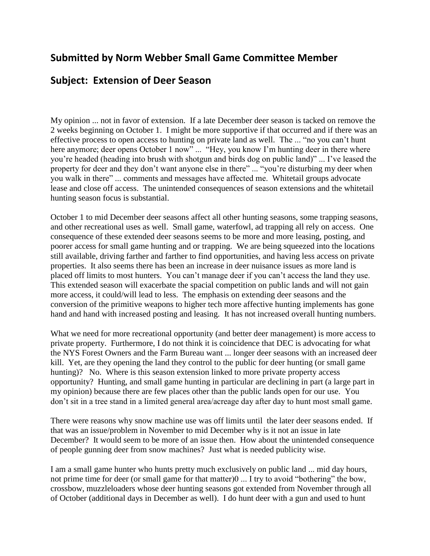## **Submitted by Norm Webber Small Game Committee Member**

## **Subject: Extension of Deer Season**

My opinion ... not in favor of extension. If a late December deer season is tacked on remove the 2 weeks beginning on October 1. I might be more supportive if that occurred and if there was an effective process to open access to hunting on private land as well. The ... "no you can't hunt here anymore; deer opens October 1 now" ... "Hey, you know I'm hunting deer in there where you're headed (heading into brush with shotgun and birds dog on public land)" ... I've leased the property for deer and they don't want anyone else in there" ... "you're disturbing my deer when you walk in there" ... comments and messages have affected me. Whitetail groups advocate lease and close off access. The unintended consequences of season extensions and the whitetail hunting season focus is substantial.

October 1 to mid December deer seasons affect all other hunting seasons, some trapping seasons, and other recreational uses as well. Small game, waterfowl, ad trapping all rely on access. One consequence of these extended deer seasons seems to be more and more leasing, posting, and poorer access for small game hunting and or trapping. We are being squeezed into the locations still available, driving farther and farther to find opportunities, and having less access on private properties. It also seems there has been an increase in deer nuisance issues as more land is placed off limits to most hunters. You can't manage deer if you can't access the land they use. This extended season will exacerbate the spacial competition on public lands and will not gain more access, it could/will lead to less. The emphasis on extending deer seasons and the conversion of the primitive weapons to higher tech more affective hunting implements has gone hand and hand with increased posting and leasing. It has not increased overall hunting numbers.

What we need for more recreational opportunity (and better deer management) is more access to private property. Furthermore, I do not think it is coincidence that DEC is advocating for what the NYS Forest Owners and the Farm Bureau want ... longer deer seasons with an increased deer kill. Yet, are they opening the land they control to the public for deer hunting (or small game hunting)? No. Where is this season extension linked to more private property access opportunity? Hunting, and small game hunting in particular are declining in part (a large part in my opinion) because there are few places other than the public lands open for our use. You don't sit in a tree stand in a limited general area/acreage day after day to hunt most small game.

There were reasons why snow machine use was off limits until the later deer seasons ended. If that was an issue/problem in November to mid December why is it not an issue in late December? It would seem to be more of an issue then. How about the unintended consequence of people gunning deer from snow machines? Just what is needed publicity wise.

I am a small game hunter who hunts pretty much exclusively on public land ... mid day hours, not prime time for deer (or small game for that matter)0 ... I try to avoid "bothering" the bow, crossbow, muzzleloaders whose deer hunting seasons got extended from November through all of October (additional days in December as well). I do hunt deer with a gun and used to hunt